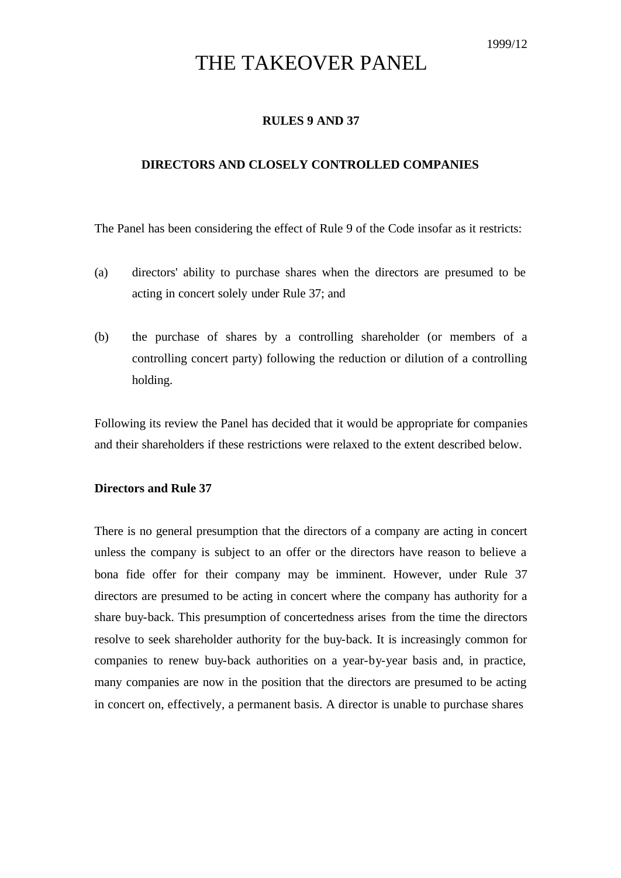# THE TAKEOVER PANEL

## **RULES 9 AND 37**

#### **DIRECTORS AND CLOSELY CONTROLLED COMPANIES**

The Panel has been considering the effect of Rule 9 of the Code insofar as it restricts:

- (a) directors' ability to purchase shares when the directors are presumed to be acting in concert solely under Rule 37; and
- (b) the purchase of shares by a controlling shareholder (or members of a controlling concert party) following the reduction or dilution of a controlling holding.

Following its review the Panel has decided that it would be appropriate for companies and their shareholders if these restrictions were relaxed to the extent described below.

### **Directors and Rule 37**

There is no general presumption that the directors of a company are acting in concert unless the company is subject to an offer or the directors have reason to believe a bona fide offer for their company may be imminent. However, under Rule 37 directors are presumed to be acting in concert where the company has authority for a share buy-back. This presumption of concertedness arises from the time the directors resolve to seek shareholder authority for the buy-back. It is increasingly common for companies to renew buy-back authorities on a year-by-year basis and, in practice, many companies are now in the position that the directors are presumed to be acting in concert on, effectively, a permanent basis. A director is unable to purchase shares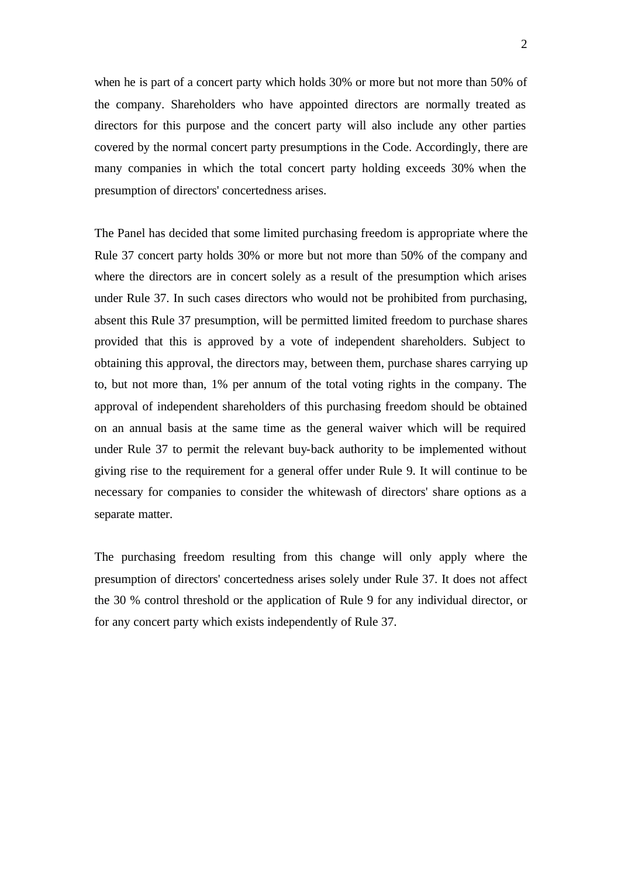when he is part of a concert party which holds 30% or more but not more than 50% of the company. Shareholders who have appointed directors are normally treated as directors for this purpose and the concert party will also include any other parties covered by the normal concert party presumptions in the Code. Accordingly, there are many companies in which the total concert party holding exceeds 30% when the presumption of directors' concertedness arises.

The Panel has decided that some limited purchasing freedom is appropriate where the Rule 37 concert party holds 30% or more but not more than 50% of the company and where the directors are in concert solely as a result of the presumption which arises under Rule 37. In such cases directors who would not be prohibited from purchasing, absent this Rule 37 presumption, will be permitted limited freedom to purchase shares provided that this is approved by a vote of independent shareholders. Subject to obtaining this approval, the directors may, between them, purchase shares carrying up to, but not more than, 1% per annum of the total voting rights in the company. The approval of independent shareholders of this purchasing freedom should be obtained on an annual basis at the same time as the general waiver which will be required under Rule 37 to permit the relevant buy-back authority to be implemented without giving rise to the requirement for a general offer under Rule 9. It will continue to be necessary for companies to consider the whitewash of directors' share options as a separate matter.

The purchasing freedom resulting from this change will only apply where the presumption of directors' concertedness arises solely under Rule 37. It does not affect the 30 % control threshold or the application of Rule 9 for any individual director, or for any concert party which exists independently of Rule 37.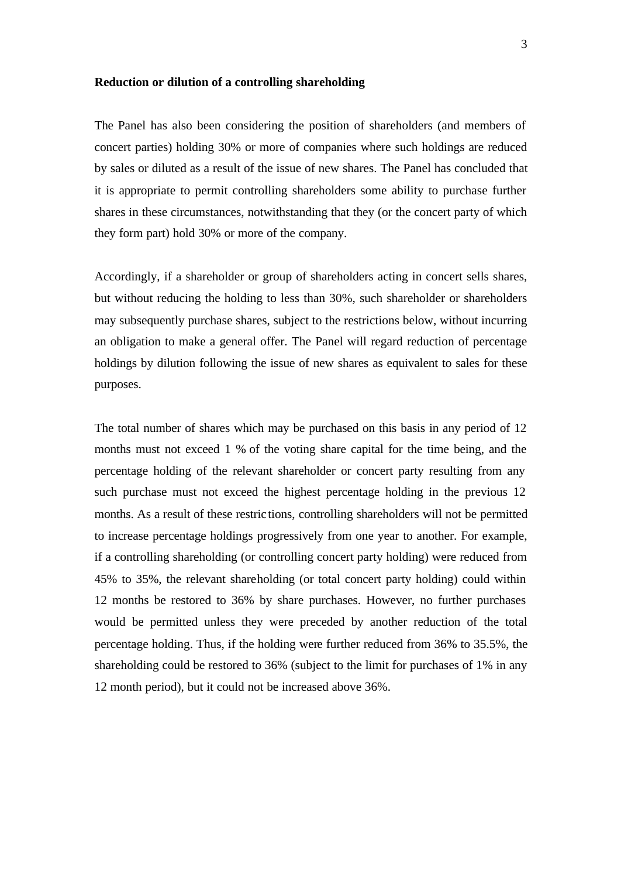#### **Reduction or dilution of a controlling shareholding**

The Panel has also been considering the position of shareholders (and members of concert parties) holding 30% or more of companies where such holdings are reduced by sales or diluted as a result of the issue of new shares. The Panel has concluded that it is appropriate to permit controlling shareholders some ability to purchase further shares in these circumstances, notwithstanding that they (or the concert party of which they form part) hold 30% or more of the company.

Accordingly, if a shareholder or group of shareholders acting in concert sells shares, but without reducing the holding to less than 30%, such shareholder or shareholders may subsequently purchase shares, subject to the restrictions below, without incurring an obligation to make a general offer. The Panel will regard reduction of percentage holdings by dilution following the issue of new shares as equivalent to sales for these purposes.

The total number of shares which may be purchased on this basis in any period of 12 months must not exceed 1 % of the voting share capital for the time being, and the percentage holding of the relevant shareholder or concert party resulting from any such purchase must not exceed the highest percentage holding in the previous 12 months. As a result of these restric tions, controlling shareholders will not be permitted to increase percentage holdings progressively from one year to another. For example, if a controlling shareholding (or controlling concert party holding) were reduced from 45% to 35%, the relevant shareholding (or total concert party holding) could within 12 months be restored to 36% by share purchases. However, no further purchases would be permitted unless they were preceded by another reduction of the total percentage holding. Thus, if the holding were further reduced from 36% to 35.5%, the shareholding could be restored to 36% (subject to the limit for purchases of 1% in any 12 month period), but it could not be increased above 36%.